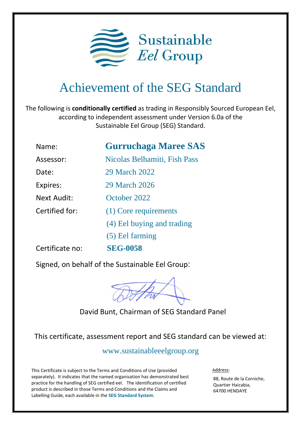

## Achievement of the SEG Standard

The following is **conditionally certified** as trading in Responsibly Sourced European Eel, according to independent assessment under Version 6.0a of the Sustainable Eel Group (SEG) Standard.

| Name:              | <b>Gurruchaga Maree SAS</b>  |
|--------------------|------------------------------|
| Assessor:          | Nicolas Belhamiti, Fish Pass |
| Date:              | 29 March 2022                |
| Expires:           | 29 March 2026                |
| <b>Next Audit:</b> | October 2022                 |
| Certified for:     | (1) Core requirements        |
|                    | (4) Eel buying and trading   |
|                    | (5) Eel farming              |
| Certificate no:    | <b>SEG-0058</b>              |

Signed, on behalf of the Sustainable Eel Group:



David Bunt, Chairman of SEG Standard Panel

This certificate, assessment report and SEG standard can be viewed at:

www.sustainableeelgroup.org

This Certificate is subject to the Terms and Conditions of Use (provided separately). It indicates that the named organisation has demonstrated best practice for the handling of SEG certified eel. The identification of certified product is described in those Terms and Conditions and the Claims and Labelling Guide, each available in the **[SEG Standard System](https://www.sustainableeelgroup.org/the-seg-standard-system/)**.

Address:

88, Route de la Corniche, Quartier Haicabia, 64700 HENDAYE